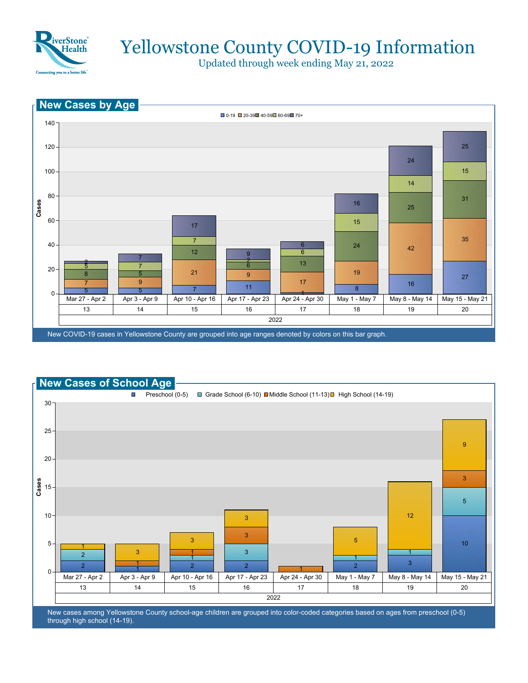

Updated through week ending May 21, 2022





New cases among Yellowstone County school-age children are grouped into color-coded categories based on ages from preschool (0-5) through high school (14-19).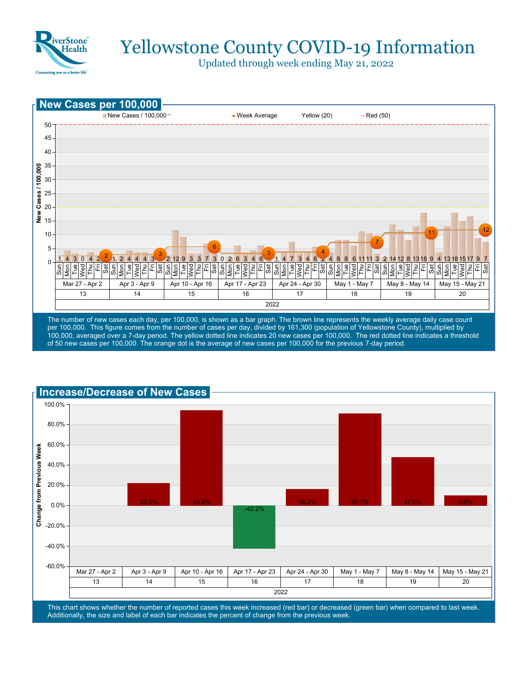

Updated through week ending May 21, 2022



100,000, averaged over a 7-day period. The yellow dotted line indicates 20 new cases per 100,000. The red dotted line indicates a threshold of 50 new cases per 100,000. The orange dot is the average of new cases per 100,000 for the previous 7-day period.



This chart shows whether the number of reported cases this week increased (red bar) or decreased (green bar) when compared to last week. Additionally, the size and label of each bar indicates the percent of change from the previous week.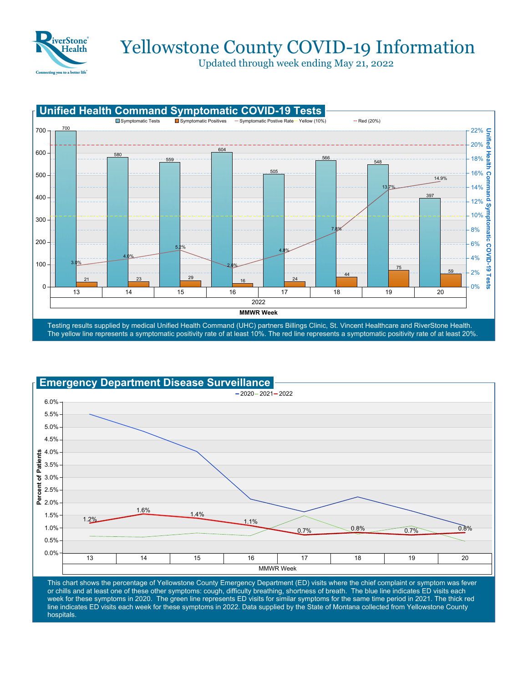

Updated through week ending May 21, 2022





This chart shows the percentage of Yellowstone County Emergency Department (ED) visits where the chief complaint or symptom was fever or chills and at least one of these other symptoms: cough, difficulty breathing, shortness of breath. The blue line indicates ED visits each week for these symptoms in 2020. The green line represents ED visits for similar symptoms for the same time period in 2021. The thick red line indicates ED visits each week for these symptoms in 2022. Data supplied by the State of Montana collected from Yellowstone County hospitals.